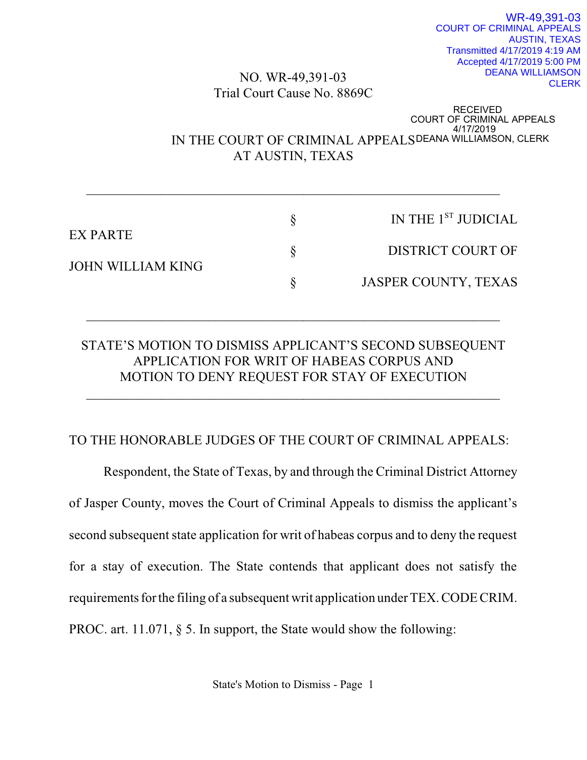## NO. WR-49,391-03 Trial Court Cause No. 8869C

# RECEIVED<br>COURT OF CRIMINAL APPEALS<br>IN THE COURT OF CRIMINAL APPEALSDEANA WILLIAMSON, CLERK<br>A HALLIAMSON, CLERK AT AUSTIN, TEXAS

| EX PARTE<br><b>JOHN WILLIAM KING</b> | IN THE 1 <sup>ST</sup> JUDICIAL |
|--------------------------------------|---------------------------------|
|                                      | <b>DISTRICT COURT OF</b>        |
|                                      | JASPER COUNTY, TEXAS            |

 $\mathcal{L}_\text{max}$  , and the contribution of the contribution of the contribution of the contribution of the contribution of the contribution of the contribution of the contribution of the contribution of the contribution of t

## STATE'S MOTION TO DISMISS APPLICANT'S SECOND SUBSEQUENT APPLICATION FOR WRIT OF HABEAS CORPUS AND MOTION TO DENY REQUEST FOR STAY OF EXECUTION

 $\mathcal{L}_\text{max}$  , and the contribution of the contribution of the contribution of the contribution of the contribution of the contribution of the contribution of the contribution of the contribution of the contribution of t

 $\frac{1}{2}$  ,  $\frac{1}{2}$  ,  $\frac{1}{2}$  ,  $\frac{1}{2}$  ,  $\frac{1}{2}$  ,  $\frac{1}{2}$  ,  $\frac{1}{2}$  ,  $\frac{1}{2}$  ,  $\frac{1}{2}$  ,  $\frac{1}{2}$  ,  $\frac{1}{2}$  ,  $\frac{1}{2}$  ,  $\frac{1}{2}$  ,  $\frac{1}{2}$  ,  $\frac{1}{2}$  ,  $\frac{1}{2}$  ,  $\frac{1}{2}$  ,  $\frac{1}{2}$  ,  $\frac{1$ 

## TO THE HONORABLE JUDGES OF THE COURT OF CRIMINAL APPEALS:

Respondent, the State of Texas, by and through the Criminal District Attorney of Jasper County, moves the Court of Criminal Appeals to dismiss the applicant's second subsequent state application for writ of habeas corpus and to deny the request for a stay of execution. The State contends that applicant does not satisfy the requirements for the filing of a subsequent writ application under TEX. CODE CRIM. PROC. art. 11.071, § 5. In support, the State would show the following: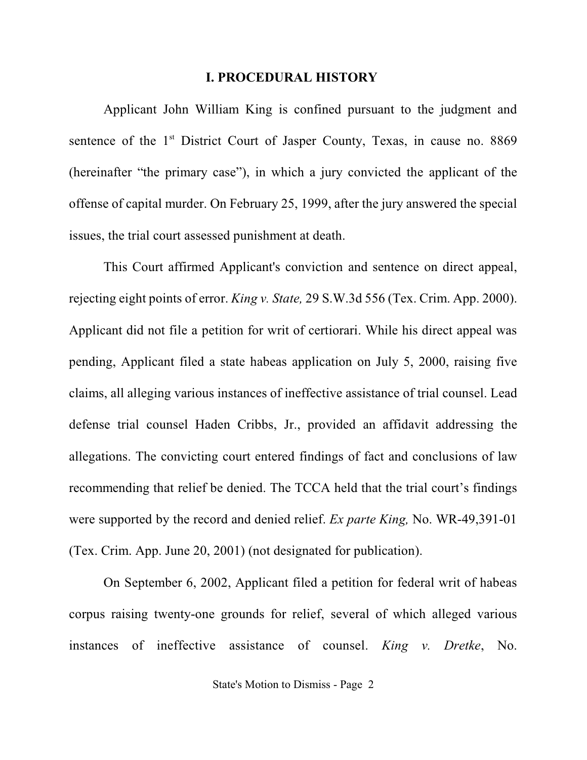#### **I. PROCEDURAL HISTORY**

Applicant John William King is confined pursuant to the judgment and sentence of the 1<sup>st</sup> District Court of Jasper County, Texas, in cause no. 8869 (hereinafter "the primary case"), in which a jury convicted the applicant of the offense of capital murder. On February 25, 1999, after the jury answered the special issues, the trial court assessed punishment at death.

This Court affirmed Applicant's conviction and sentence on direct appeal, rejecting eight points of error. *King v. State,* 29 S.W.3d 556 (Tex. Crim. App. 2000). Applicant did not file a petition for writ of certiorari. While his direct appeal was pending, Applicant filed a state habeas application on July 5, 2000, raising five claims, all alleging various instances of ineffective assistance of trial counsel. Lead defense trial counsel Haden Cribbs, Jr., provided an affidavit addressing the allegations. The convicting court entered findings of fact and conclusions of law recommending that relief be denied. The TCCA held that the trial court's findings were supported by the record and denied relief. *Ex parte King,* No. WR-49,391-01 (Tex. Crim. App. June 20, 2001) (not designated for publication).

On September 6, 2002, Applicant filed a petition for federal writ of habeas corpus raising twenty-one grounds for relief, several of which alleged various instances of ineffective assistance of counsel. *King v. Dretke*, No.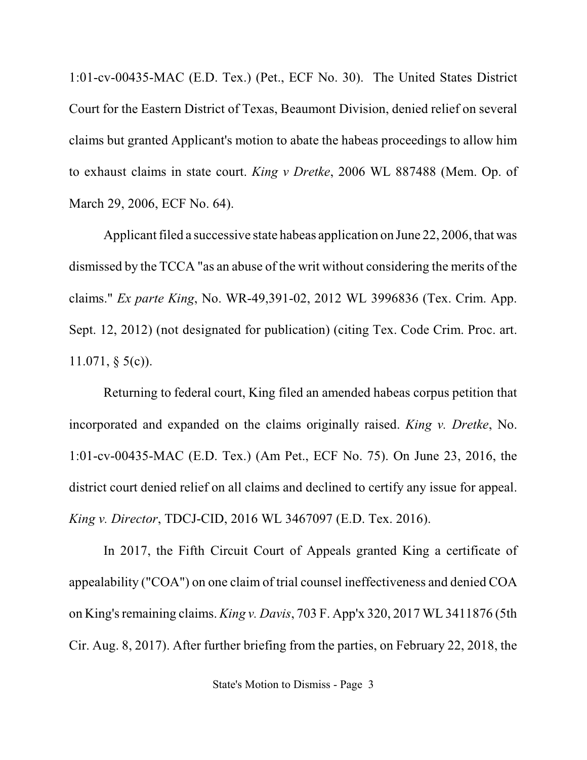1:01-cv-00435-MAC (E.D. Tex.) (Pet., ECF No. 30). The United States District Court for the Eastern District of Texas, Beaumont Division, denied relief on several claims but granted Applicant's motion to abate the habeas proceedings to allow him to exhaust claims in state court. *King v Dretke*, 2006 WL 887488 (Mem. Op. of March 29, 2006, ECF No. 64).

Applicant filed a successive state habeas application on June 22, 2006, that was dismissed by the TCCA "as an abuse of the writ without considering the merits of the claims." *Ex parte King*, No. WR-49,391-02, 2012 WL 3996836 (Tex. Crim. App. Sept. 12, 2012) (not designated for publication) (citing Tex. Code Crim. Proc. art. 11.071, § 5(c)).

Returning to federal court, King filed an amended habeas corpus petition that incorporated and expanded on the claims originally raised. *King v. Dretke*, No. 1:01-cv-00435-MAC (E.D. Tex.) (Am Pet., ECF No. 75). On June 23, 2016, the district court denied relief on all claims and declined to certify any issue for appeal. *King v. Director*, TDCJ-CID, 2016 WL 3467097 (E.D. Tex. 2016).

In 2017, the Fifth Circuit Court of Appeals granted King a certificate of appealability ("COA") on one claim of trial counsel ineffectiveness and denied COA on King'sremaining claims. *King v. Davis*, 703 F. App'x 320, 2017 WL 3411876 (5th Cir. Aug. 8, 2017). After further briefing from the parties, on February 22, 2018, the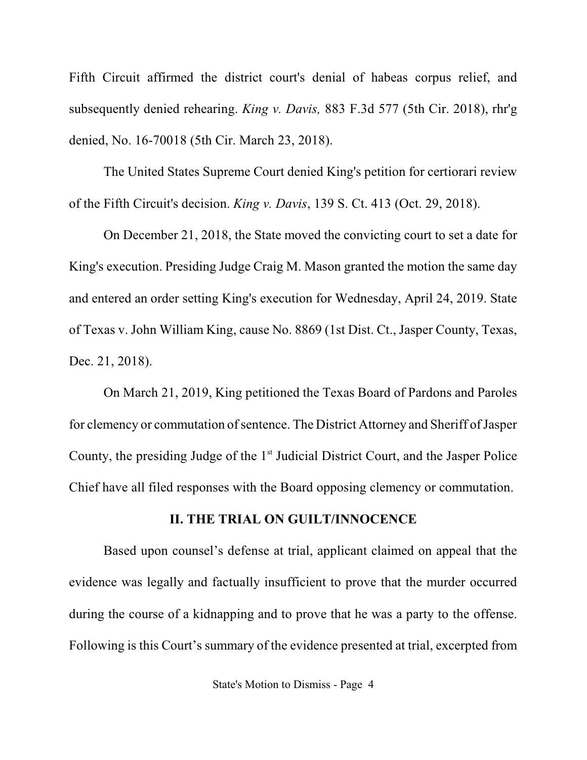Fifth Circuit affirmed the district court's denial of habeas corpus relief, and subsequently denied rehearing. *King v. Davis,* 883 F.3d 577 (5th Cir. 2018), rhr'g denied, No. 16-70018 (5th Cir. March 23, 2018).

The United States Supreme Court denied King's petition for certiorari review of the Fifth Circuit's decision. *King v. Davis*, 139 S. Ct. 413 (Oct. 29, 2018).

On December 21, 2018, the State moved the convicting court to set a date for King's execution. Presiding Judge Craig M. Mason granted the motion the same day and entered an order setting King's execution for Wednesday, April 24, 2019. State of Texas v. John William King, cause No. 8869 (1st Dist. Ct., Jasper County, Texas, Dec. 21, 2018).

On March 21, 2019, King petitioned the Texas Board of Pardons and Paroles for clemency or commutation of sentence. The District Attorney and Sheriff of Jasper County, the presiding Judge of the 1<sup>st</sup> Judicial District Court, and the Jasper Police Chief have all filed responses with the Board opposing clemency or commutation.

### **II. THE TRIAL ON GUILT/INNOCENCE**

Based upon counsel's defense at trial, applicant claimed on appeal that the evidence was legally and factually insufficient to prove that the murder occurred during the course of a kidnapping and to prove that he was a party to the offense. Following is this Court's summary of the evidence presented at trial, excerpted from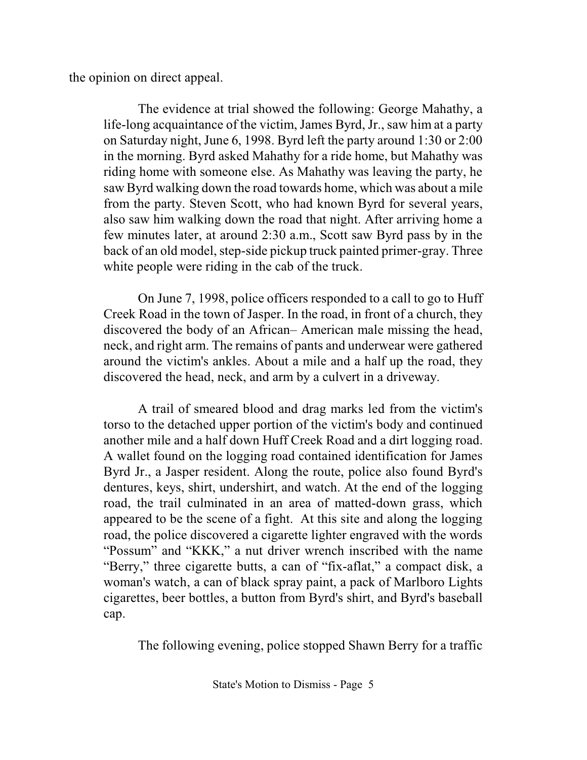the opinion on direct appeal.

The evidence at trial showed the following: George Mahathy, a life-long acquaintance of the victim, James Byrd, Jr., saw him at a party on Saturday night, June 6, 1998. Byrd left the party around 1:30 or 2:00 in the morning. Byrd asked Mahathy for a ride home, but Mahathy was riding home with someone else. As Mahathy was leaving the party, he saw Byrd walking down the road towards home, which was about a mile from the party. Steven Scott, who had known Byrd for several years, also saw him walking down the road that night. After arriving home a few minutes later, at around 2:30 a.m., Scott saw Byrd pass by in the back of an old model, step-side pickup truck painted primer-gray. Three white people were riding in the cab of the truck.

On June 7, 1998, police officers responded to a call to go to Huff Creek Road in the town of Jasper. In the road, in front of a church, they discovered the body of an African– American male missing the head, neck, and right arm. The remains of pants and underwear were gathered around the victim's ankles. About a mile and a half up the road, they discovered the head, neck, and arm by a culvert in a driveway.

A trail of smeared blood and drag marks led from the victim's torso to the detached upper portion of the victim's body and continued another mile and a half down Huff Creek Road and a dirt logging road. A wallet found on the logging road contained identification for James Byrd Jr., a Jasper resident. Along the route, police also found Byrd's dentures, keys, shirt, undershirt, and watch. At the end of the logging road, the trail culminated in an area of matted-down grass, which appeared to be the scene of a fight. At this site and along the logging road, the police discovered a cigarette lighter engraved with the words "Possum" and "KKK," a nut driver wrench inscribed with the name "Berry," three cigarette butts, a can of "fix-aflat," a compact disk, a woman's watch, a can of black spray paint, a pack of Marlboro Lights cigarettes, beer bottles, a button from Byrd's shirt, and Byrd's baseball cap.

The following evening, police stopped Shawn Berry for a traffic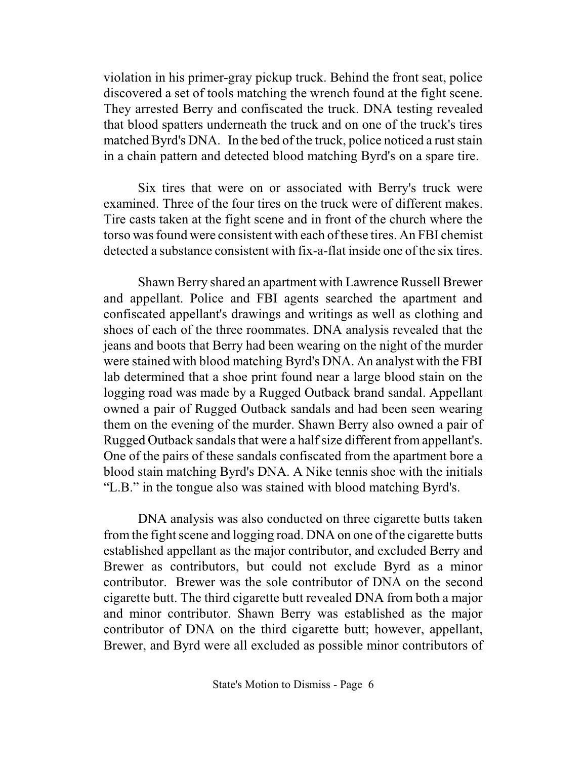violation in his primer-gray pickup truck. Behind the front seat, police discovered a set of tools matching the wrench found at the fight scene. They arrested Berry and confiscated the truck. DNA testing revealed that blood spatters underneath the truck and on one of the truck's tires matched Byrd's DNA. In the bed of the truck, police noticed a rust stain in a chain pattern and detected blood matching Byrd's on a spare tire.

Six tires that were on or associated with Berry's truck were examined. Three of the four tires on the truck were of different makes. Tire casts taken at the fight scene and in front of the church where the torso was found were consistent with each of these tires. An FBI chemist detected a substance consistent with fix-a-flat inside one of the six tires.

Shawn Berry shared an apartment with Lawrence Russell Brewer and appellant. Police and FBI agents searched the apartment and confiscated appellant's drawings and writings as well as clothing and shoes of each of the three roommates. DNA analysis revealed that the jeans and boots that Berry had been wearing on the night of the murder were stained with blood matching Byrd's DNA. An analyst with the FBI lab determined that a shoe print found near a large blood stain on the logging road was made by a Rugged Outback brand sandal. Appellant owned a pair of Rugged Outback sandals and had been seen wearing them on the evening of the murder. Shawn Berry also owned a pair of Rugged Outback sandals that were a half size different from appellant's. One of the pairs of these sandals confiscated from the apartment bore a blood stain matching Byrd's DNA. A Nike tennis shoe with the initials "L.B." in the tongue also was stained with blood matching Byrd's.

DNA analysis was also conducted on three cigarette butts taken from the fight scene and logging road. DNA on one of the cigarette butts established appellant as the major contributor, and excluded Berry and Brewer as contributors, but could not exclude Byrd as a minor contributor. Brewer was the sole contributor of DNA on the second cigarette butt. The third cigarette butt revealed DNA from both a major and minor contributor. Shawn Berry was established as the major contributor of DNA on the third cigarette butt; however, appellant, Brewer, and Byrd were all excluded as possible minor contributors of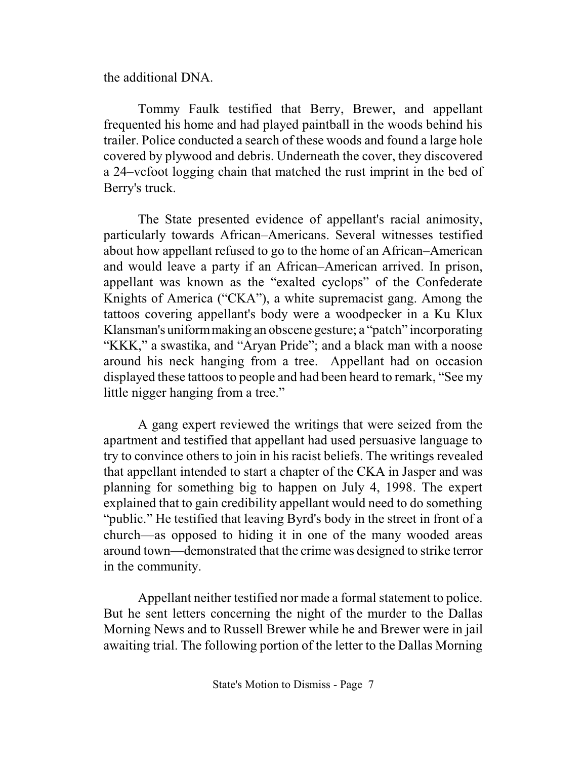the additional DNA.

Tommy Faulk testified that Berry, Brewer, and appellant frequented his home and had played paintball in the woods behind his trailer. Police conducted a search of these woods and found a large hole covered by plywood and debris. Underneath the cover, they discovered a 24–vcfoot logging chain that matched the rust imprint in the bed of Berry's truck.

The State presented evidence of appellant's racial animosity, particularly towards African–Americans. Several witnesses testified about how appellant refused to go to the home of an African–American and would leave a party if an African–American arrived. In prison, appellant was known as the "exalted cyclops" of the Confederate Knights of America ("CKA"), a white supremacist gang. Among the tattoos covering appellant's body were a woodpecker in a Ku Klux Klansman's uniformmaking an obscene gesture; a "patch" incorporating "KKK," a swastika, and "Aryan Pride"; and a black man with a noose around his neck hanging from a tree. Appellant had on occasion displayed these tattoos to people and had been heard to remark, "See my little nigger hanging from a tree."

A gang expert reviewed the writings that were seized from the apartment and testified that appellant had used persuasive language to try to convince others to join in his racist beliefs. The writings revealed that appellant intended to start a chapter of the CKA in Jasper and was planning for something big to happen on July 4, 1998. The expert explained that to gain credibility appellant would need to do something "public." He testified that leaving Byrd's body in the street in front of a church—as opposed to hiding it in one of the many wooded areas around town—demonstrated that the crime was designed to strike terror in the community.

Appellant neither testified nor made a formal statement to police. But he sent letters concerning the night of the murder to the Dallas Morning News and to Russell Brewer while he and Brewer were in jail awaiting trial. The following portion of the letter to the Dallas Morning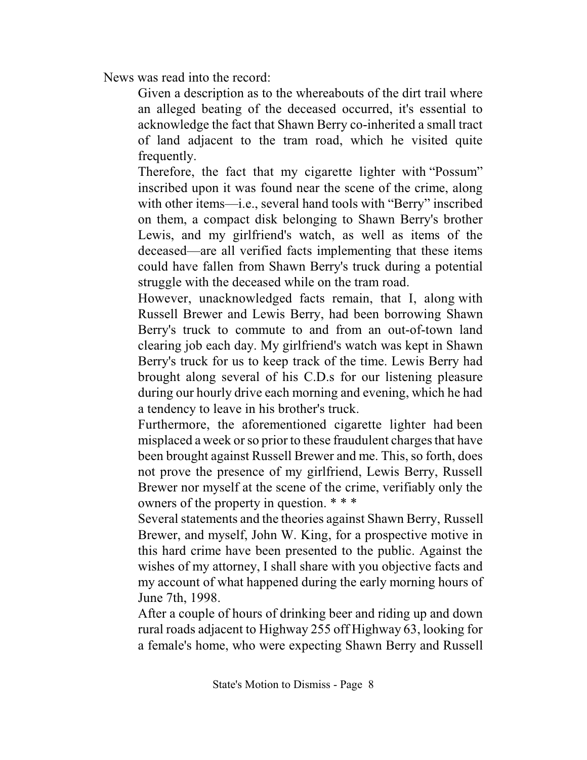News was read into the record:

Given a description as to the whereabouts of the dirt trail where an alleged beating of the deceased occurred, it's essential to acknowledge the fact that Shawn Berry co-inherited a small tract of land adjacent to the tram road, which he visited quite frequently.

Therefore, the fact that my cigarette lighter with "Possum" inscribed upon it was found near the scene of the crime, along with other items—i.e., several hand tools with "Berry" inscribed on them, a compact disk belonging to Shawn Berry's brother Lewis, and my girlfriend's watch, as well as items of the deceased—are all verified facts implementing that these items could have fallen from Shawn Berry's truck during a potential struggle with the deceased while on the tram road.

However, unacknowledged facts remain, that I, along with Russell Brewer and Lewis Berry, had been borrowing Shawn Berry's truck to commute to and from an out-of-town land clearing job each day. My girlfriend's watch was kept in Shawn Berry's truck for us to keep track of the time. Lewis Berry had brought along several of his C.D.s for our listening pleasure during our hourly drive each morning and evening, which he had a tendency to leave in his brother's truck.

Furthermore, the aforementioned cigarette lighter had been misplaced a week or so prior to these fraudulent charges that have been brought against Russell Brewer and me. This, so forth, does not prove the presence of my girlfriend, Lewis Berry, Russell Brewer nor myself at the scene of the crime, verifiably only the owners of the property in question. \* \* \*

Several statements and the theories against Shawn Berry, Russell Brewer, and myself, John W. King, for a prospective motive in this hard crime have been presented to the public. Against the wishes of my attorney, I shall share with you objective facts and my account of what happened during the early morning hours of June 7th, 1998.

After a couple of hours of drinking beer and riding up and down rural roads adjacent to Highway 255 off Highway 63, looking for a female's home, who were expecting Shawn Berry and Russell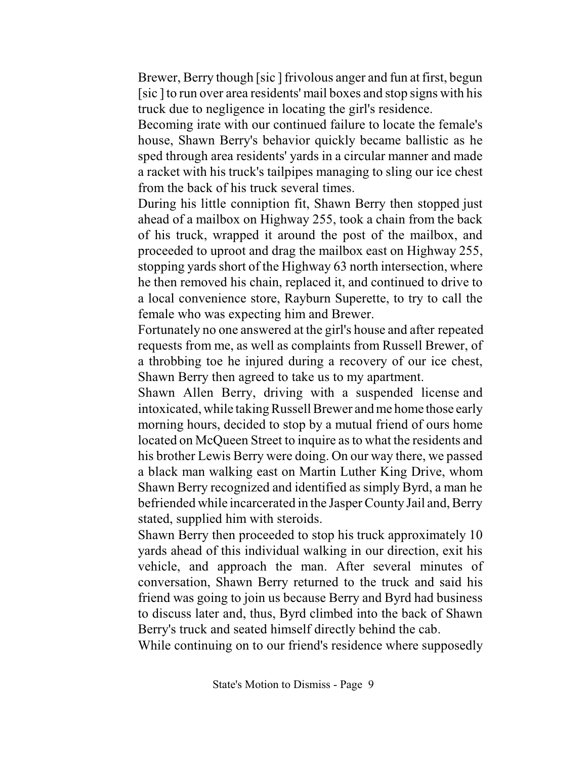Brewer, Berry though [sic ] frivolous anger and fun at first, begun [sic] to run over area residents' mail boxes and stop signs with his truck due to negligence in locating the girl's residence.

Becoming irate with our continued failure to locate the female's house, Shawn Berry's behavior quickly became ballistic as he sped through area residents' yards in a circular manner and made a racket with his truck's tailpipes managing to sling our ice chest from the back of his truck several times.

During his little conniption fit, Shawn Berry then stopped just ahead of a mailbox on Highway 255, took a chain from the back of his truck, wrapped it around the post of the mailbox, and proceeded to uproot and drag the mailbox east on Highway 255, stopping yards short of the Highway 63 north intersection, where he then removed his chain, replaced it, and continued to drive to a local convenience store, Rayburn Superette, to try to call the female who was expecting him and Brewer.

Fortunately no one answered at the girl's house and after repeated requests from me, as well as complaints from Russell Brewer, of a throbbing toe he injured during a recovery of our ice chest, Shawn Berry then agreed to take us to my apartment.

Shawn Allen Berry, driving with a suspended license and intoxicated, while taking Russell Brewer and me home those early morning hours, decided to stop by a mutual friend of ours home located on McQueen Street to inquire as to what the residents and his brother Lewis Berry were doing. On our way there, we passed a black man walking east on Martin Luther King Drive, whom Shawn Berry recognized and identified as simply Byrd, a man he befriended while incarcerated in the Jasper County Jail and, Berry stated, supplied him with steroids.

Shawn Berry then proceeded to stop his truck approximately 10 yards ahead of this individual walking in our direction, exit his vehicle, and approach the man. After several minutes of conversation, Shawn Berry returned to the truck and said his friend was going to join us because Berry and Byrd had business to discuss later and, thus, Byrd climbed into the back of Shawn Berry's truck and seated himself directly behind the cab.

While continuing on to our friend's residence where supposedly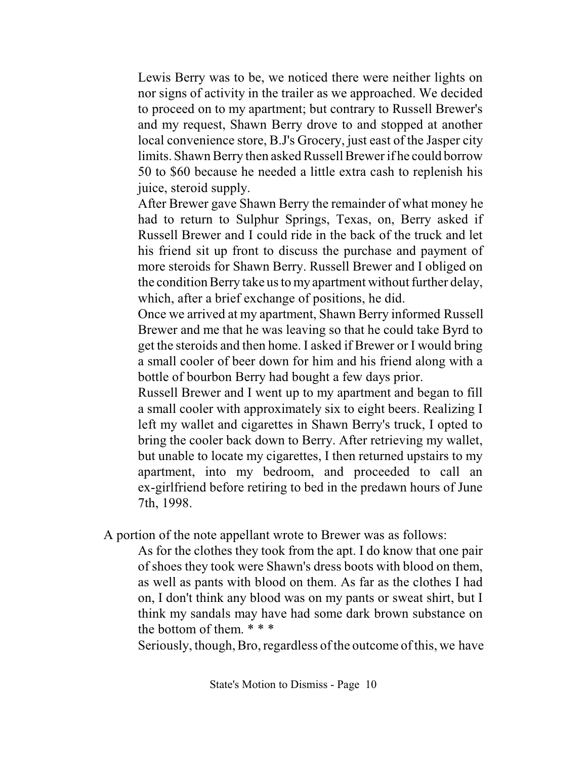Lewis Berry was to be, we noticed there were neither lights on nor signs of activity in the trailer as we approached. We decided to proceed on to my apartment; but contrary to Russell Brewer's and my request, Shawn Berry drove to and stopped at another local convenience store, B.J's Grocery, just east of the Jasper city limits. Shawn Berry then asked Russell Brewer if he could borrow 50 to \$60 because he needed a little extra cash to replenish his juice, steroid supply.

After Brewer gave Shawn Berry the remainder of what money he had to return to Sulphur Springs, Texas, on, Berry asked if Russell Brewer and I could ride in the back of the truck and let his friend sit up front to discuss the purchase and payment of more steroids for Shawn Berry. Russell Brewer and I obliged on the condition Berry take us to my apartment without further delay, which, after a brief exchange of positions, he did.

Once we arrived at my apartment, Shawn Berry informed Russell Brewer and me that he was leaving so that he could take Byrd to get the steroids and then home. I asked if Brewer or I would bring a small cooler of beer down for him and his friend along with a bottle of bourbon Berry had bought a few days prior.

Russell Brewer and I went up to my apartment and began to fill a small cooler with approximately six to eight beers. Realizing I left my wallet and cigarettes in Shawn Berry's truck, I opted to bring the cooler back down to Berry. After retrieving my wallet, but unable to locate my cigarettes, I then returned upstairs to my apartment, into my bedroom, and proceeded to call an ex-girlfriend before retiring to bed in the predawn hours of June 7th, 1998.

A portion of the note appellant wrote to Brewer was as follows:

As for the clothes they took from the apt. I do know that one pair of shoes they took were Shawn's dress boots with blood on them, as well as pants with blood on them. As far as the clothes I had on, I don't think any blood was on my pants or sweat shirt, but I think my sandals may have had some dark brown substance on the bottom of them. \* \* \*

Seriously, though, Bro, regardless of the outcome of this, we have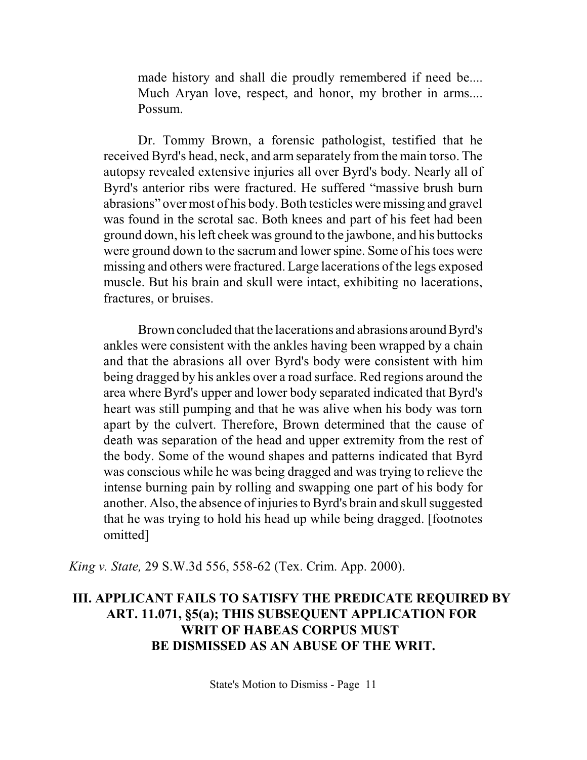made history and shall die proudly remembered if need be.... Much Aryan love, respect, and honor, my brother in arms.... Possum.

Dr. Tommy Brown, a forensic pathologist, testified that he received Byrd's head, neck, and arm separately from the main torso. The autopsy revealed extensive injuries all over Byrd's body. Nearly all of Byrd's anterior ribs were fractured. He suffered "massive brush burn abrasions" over most of his body.Both testicles were missing and gravel was found in the scrotal sac. Both knees and part of his feet had been ground down, hisleft cheek was ground to the jawbone, and his buttocks were ground down to the sacrum and lower spine. Some of histoes were missing and others were fractured. Large lacerations of the legs exposed muscle. But his brain and skull were intact, exhibiting no lacerations, fractures, or bruises.

Brown concluded that the lacerations and abrasions around Byrd's ankles were consistent with the ankles having been wrapped by a chain and that the abrasions all over Byrd's body were consistent with him being dragged by his ankles over a road surface. Red regions around the area where Byrd's upper and lower body separated indicated that Byrd's heart was still pumping and that he was alive when his body was torn apart by the culvert. Therefore, Brown determined that the cause of death was separation of the head and upper extremity from the rest of the body. Some of the wound shapes and patterns indicated that Byrd was conscious while he was being dragged and was trying to relieve the intense burning pain by rolling and swapping one part of his body for another. Also, the absence of injuries to Byrd's brain and skull suggested that he was trying to hold his head up while being dragged. [footnotes omitted]

*King v. State,* 29 S.W.3d 556, 558-62 (Tex. Crim. App. 2000).

## **III. APPLICANT FAILS TO SATISFY THE PREDICATE REQUIRED BY ART. 11.071, §5(a); THIS SUBSEQUENT APPLICATION FOR WRIT OF HABEAS CORPUS MUST BE DISMISSED AS AN ABUSE OF THE WRIT.**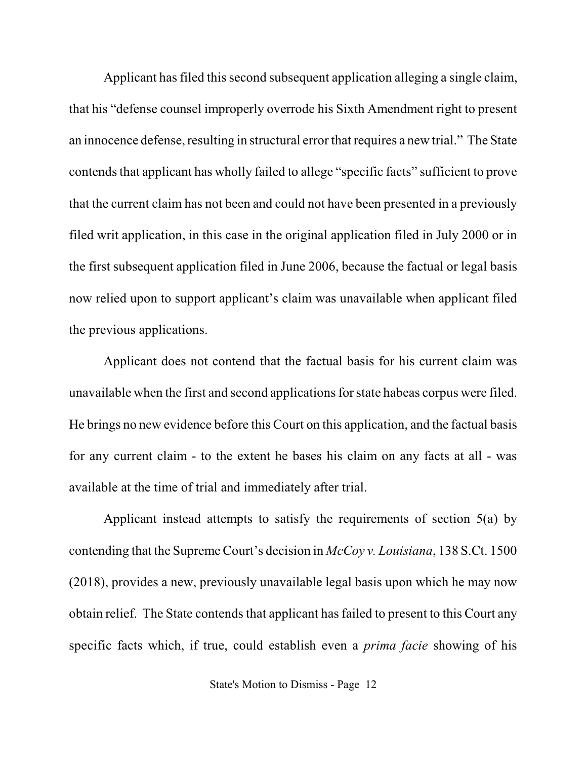Applicant has filed this second subsequent application alleging a single claim, that his "defense counsel improperly overrode his Sixth Amendment right to present an innocence defense, resulting in structural error that requires a new trial." The State contends that applicant has wholly failed to allege "specific facts" sufficient to prove that the current claim has not been and could not have been presented in a previously filed writ application, in this case in the original application filed in July 2000 or in the first subsequent application filed in June 2006, because the factual or legal basis now relied upon to support applicant's claim was unavailable when applicant filed the previous applications.

Applicant does not contend that the factual basis for his current claim was unavailable when the first and second applicationsfor state habeas corpus were filed. He brings no new evidence before this Court on this application, and the factual basis for any current claim - to the extent he bases his claim on any facts at all - was available at the time of trial and immediately after trial.

Applicant instead attempts to satisfy the requirements of section 5(a) by contending that the Supreme Court's decision in *McCoy v. Louisiana*, 138 S.Ct. 1500 (2018), provides a new, previously unavailable legal basis upon which he may now obtain relief. The State contends that applicant has failed to present to this Court any specific facts which, if true, could establish even a *prima facie* showing of his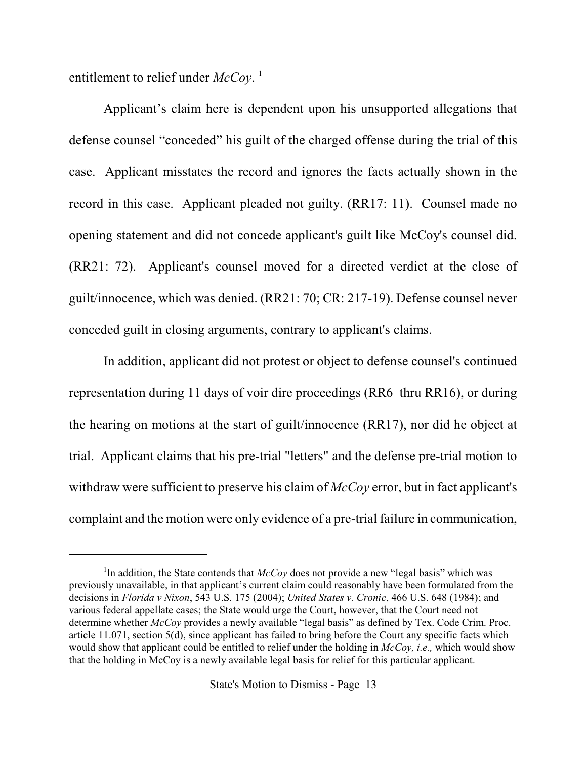entitlement to relief under *McCoy*. 1

Applicant's claim here is dependent upon his unsupported allegations that defense counsel "conceded" his guilt of the charged offense during the trial of this case. Applicant misstates the record and ignores the facts actually shown in the record in this case. Applicant pleaded not guilty. (RR17: 11). Counsel made no opening statement and did not concede applicant's guilt like McCoy's counsel did. (RR21: 72). Applicant's counsel moved for a directed verdict at the close of guilt/innocence, which was denied. (RR21: 70; CR: 217-19). Defense counsel never conceded guilt in closing arguments, contrary to applicant's claims.

In addition, applicant did not protest or object to defense counsel's continued representation during 11 days of voir dire proceedings (RR6 thru RR16), or during the hearing on motions at the start of guilt/innocence (RR17), nor did he object at trial. Applicant claims that his pre-trial "letters" and the defense pre-trial motion to withdraw were sufficient to preserve his claim of *McCoy* error, but in fact applicant's complaint and the motion were only evidence of a pre-trial failure in communication,

<sup>&</sup>lt;sup>1</sup>In addition, the State contends that *McCoy* does not provide a new "legal basis" which was previously unavailable, in that applicant's current claim could reasonably have been formulated from the decisions in *Florida v Nixon*, 543 U.S. 175 (2004); *United States v. Cronic*, 466 U.S. 648 (1984); and various federal appellate cases; the State would urge the Court, however, that the Court need not determine whether *McCoy* provides a newly available "legal basis" as defined by Tex. Code Crim. Proc. article 11.071, section 5(d), since applicant has failed to bring before the Court any specific facts which would show that applicant could be entitled to relief under the holding in *McCoy, i.e.,* which would show that the holding in McCoy is a newly available legal basis for relief for this particular applicant.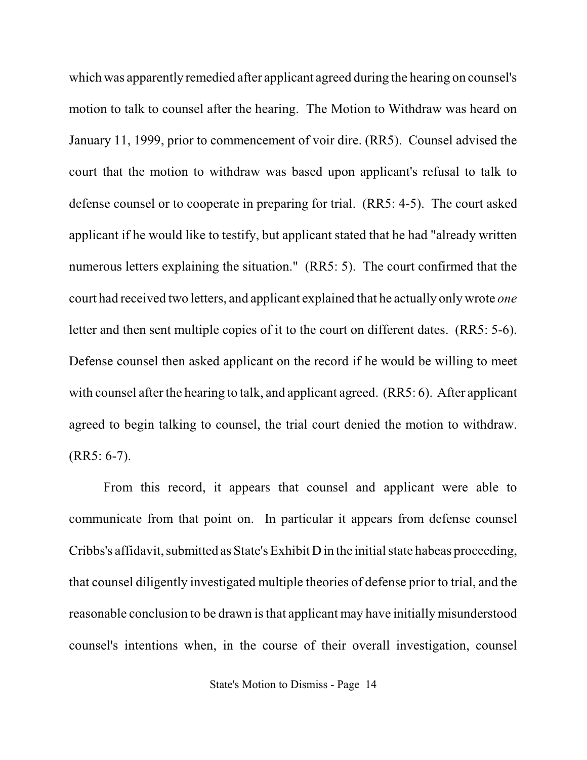which was apparently remedied after applicant agreed during the hearing on counsel's motion to talk to counsel after the hearing. The Motion to Withdraw was heard on January 11, 1999, prior to commencement of voir dire. (RR5). Counsel advised the court that the motion to withdraw was based upon applicant's refusal to talk to defense counsel or to cooperate in preparing for trial. (RR5: 4-5). The court asked applicant if he would like to testify, but applicant stated that he had "already written numerous letters explaining the situation." (RR5: 5). The court confirmed that the court had received two letters, and applicant explained that he actually onlywrote *one* letter and then sent multiple copies of it to the court on different dates. (RR5: 5-6). Defense counsel then asked applicant on the record if he would be willing to meet with counsel after the hearing to talk, and applicant agreed. (RR5: 6). After applicant agreed to begin talking to counsel, the trial court denied the motion to withdraw. (RR5: 6-7).

From this record, it appears that counsel and applicant were able to communicate from that point on. In particular it appears from defense counsel Cribbs's affidavit, submitted as State's Exhibit D in the initial state habeas proceeding, that counsel diligently investigated multiple theories of defense prior to trial, and the reasonable conclusion to be drawn is that applicant may have initially misunderstood counsel's intentions when, in the course of their overall investigation, counsel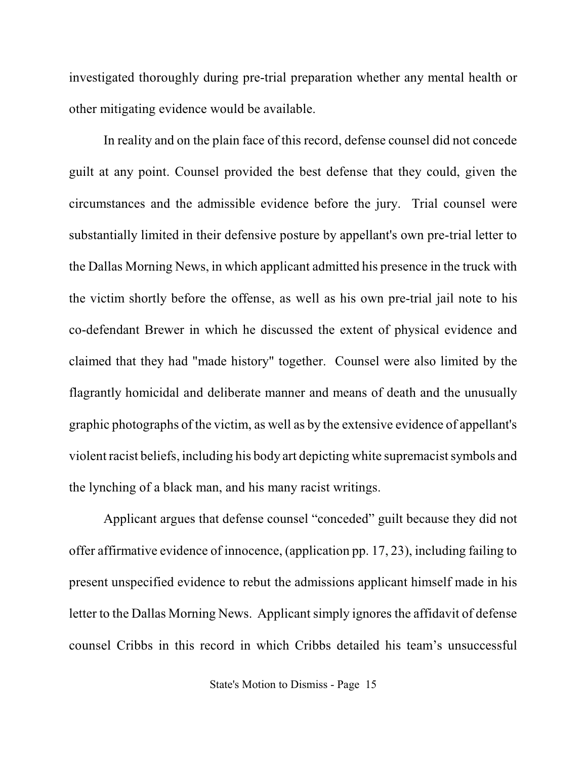investigated thoroughly during pre-trial preparation whether any mental health or other mitigating evidence would be available.

In reality and on the plain face of this record, defense counsel did not concede guilt at any point. Counsel provided the best defense that they could, given the circumstances and the admissible evidence before the jury. Trial counsel were substantially limited in their defensive posture by appellant's own pre-trial letter to the Dallas Morning News, in which applicant admitted his presence in the truck with the victim shortly before the offense, as well as his own pre-trial jail note to his co-defendant Brewer in which he discussed the extent of physical evidence and claimed that they had "made history" together. Counsel were also limited by the flagrantly homicidal and deliberate manner and means of death and the unusually graphic photographs of the victim, as well as by the extensive evidence of appellant's violent racist beliefs, including his body art depicting white supremacist symbols and the lynching of a black man, and his many racist writings.

Applicant argues that defense counsel "conceded" guilt because they did not offer affirmative evidence of innocence, (application pp. 17, 23), including failing to present unspecified evidence to rebut the admissions applicant himself made in his letter to the Dallas Morning News. Applicant simply ignores the affidavit of defense counsel Cribbs in this record in which Cribbs detailed his team's unsuccessful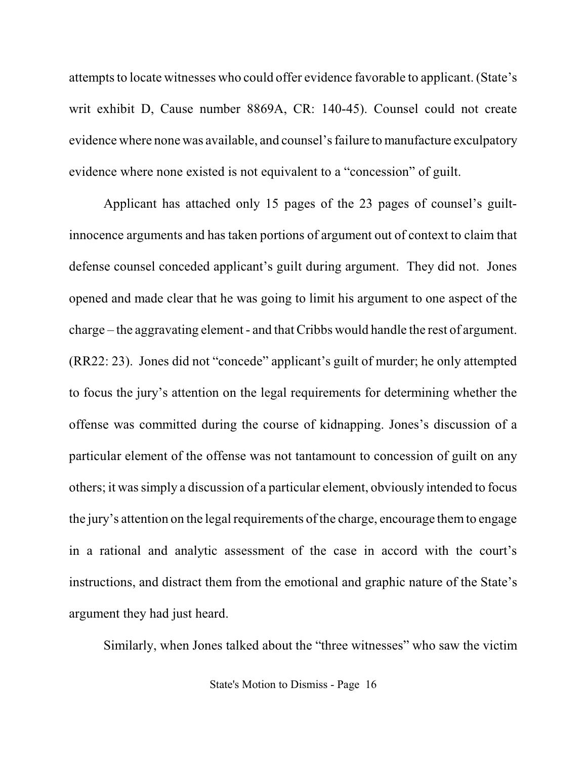attempts to locate witnesses who could offer evidence favorable to applicant. (State's writ exhibit D, Cause number 8869A, CR: 140-45). Counsel could not create evidence where none was available, and counsel'sfailure to manufacture exculpatory evidence where none existed is not equivalent to a "concession" of guilt.

Applicant has attached only 15 pages of the 23 pages of counsel's guiltinnocence arguments and has taken portions of argument out of context to claim that defense counsel conceded applicant's guilt during argument. They did not. Jones opened and made clear that he was going to limit his argument to one aspect of the charge – the aggravating element - and thatCribbs would handle the rest of argument. (RR22: 23). Jones did not "concede" applicant's guilt of murder; he only attempted to focus the jury's attention on the legal requirements for determining whether the offense was committed during the course of kidnapping. Jones's discussion of a particular element of the offense was not tantamount to concession of guilt on any others; it wassimply a discussion of a particular element, obviously intended to focus the jury's attention on the legal requirements of the charge, encourage them to engage in a rational and analytic assessment of the case in accord with the court's instructions, and distract them from the emotional and graphic nature of the State's argument they had just heard.

Similarly, when Jones talked about the "three witnesses" who saw the victim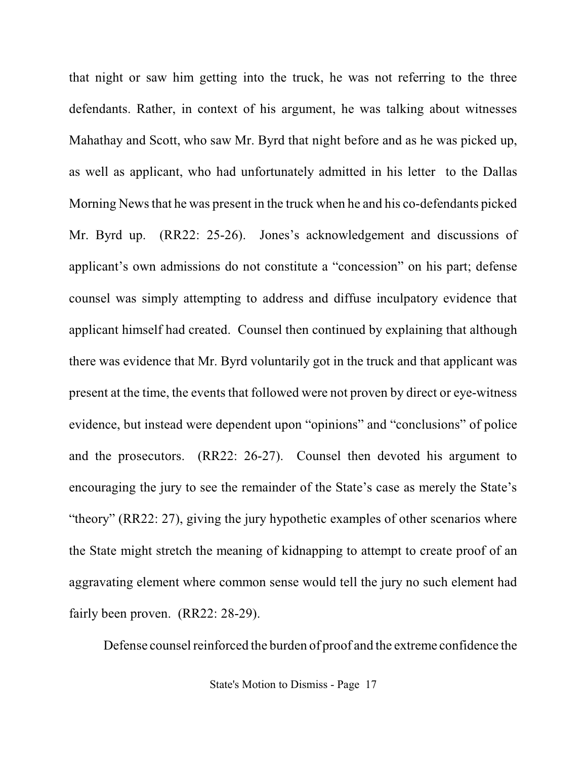that night or saw him getting into the truck, he was not referring to the three defendants. Rather, in context of his argument, he was talking about witnesses Mahathay and Scott, who saw Mr. Byrd that night before and as he was picked up, as well as applicant, who had unfortunately admitted in his letter to the Dallas Morning Newsthat he was present in the truck when he and his co-defendants picked Mr. Byrd up. (RR22: 25-26). Jones's acknowledgement and discussions of applicant's own admissions do not constitute a "concession" on his part; defense counsel was simply attempting to address and diffuse inculpatory evidence that applicant himself had created. Counsel then continued by explaining that although there was evidence that Mr. Byrd voluntarily got in the truck and that applicant was present at the time, the events that followed were not proven by direct or eye-witness evidence, but instead were dependent upon "opinions" and "conclusions" of police and the prosecutors. (RR22: 26-27). Counsel then devoted his argument to encouraging the jury to see the remainder of the State's case as merely the State's "theory" (RR22: 27), giving the jury hypothetic examples of other scenarios where the State might stretch the meaning of kidnapping to attempt to create proof of an aggravating element where common sense would tell the jury no such element had fairly been proven. (RR22: 28-29).

Defense counsel reinforced the burden of proof and the extreme confidence the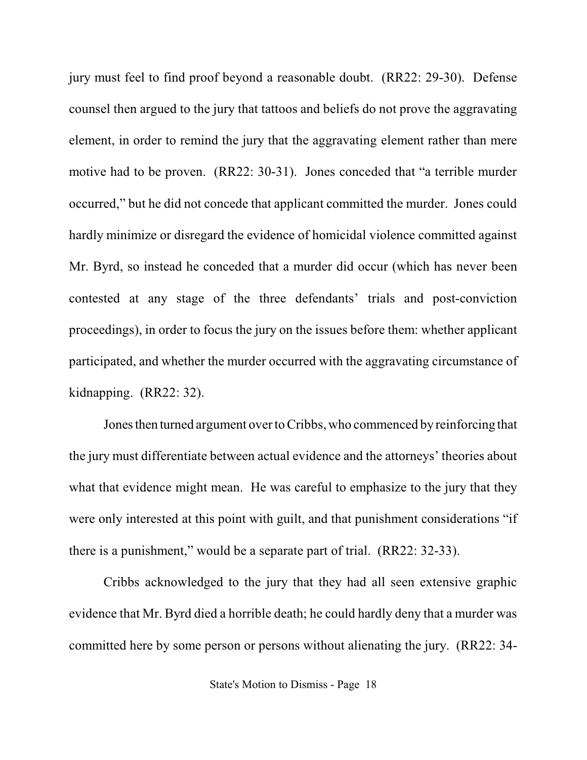jury must feel to find proof beyond a reasonable doubt. (RR22: 29-30). Defense counsel then argued to the jury that tattoos and beliefs do not prove the aggravating element, in order to remind the jury that the aggravating element rather than mere motive had to be proven. (RR22: 30-31). Jones conceded that "a terrible murder occurred," but he did not concede that applicant committed the murder. Jones could hardly minimize or disregard the evidence of homicidal violence committed against Mr. Byrd, so instead he conceded that a murder did occur (which has never been contested at any stage of the three defendants' trials and post-conviction proceedings), in order to focus the jury on the issues before them: whether applicant participated, and whether the murder occurred with the aggravating circumstance of kidnapping. (RR22: 32).

Jones then turned argument over toCribbs, who commenced by reinforcing that the jury must differentiate between actual evidence and the attorneys' theories about what that evidence might mean. He was careful to emphasize to the jury that they were only interested at this point with guilt, and that punishment considerations "if there is a punishment," would be a separate part of trial. (RR22: 32-33).

Cribbs acknowledged to the jury that they had all seen extensive graphic evidence that Mr. Byrd died a horrible death; he could hardly deny that a murder was committed here by some person or persons without alienating the jury. (RR22: 34-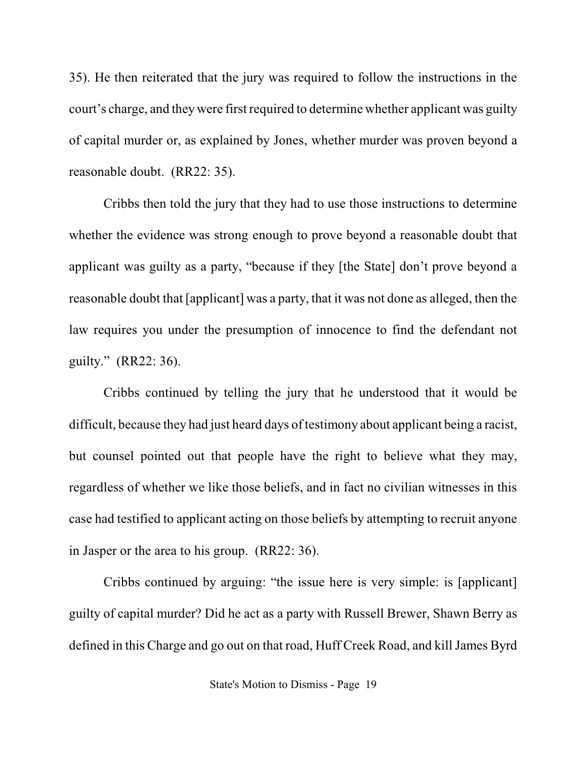35). He then reiterated that the jury was required to follow the instructions in the court's charge, and they were first required to determine whether applicant was guilty of capital murder or, as explained by Jones, whether murder was proven beyond a reasonable doubt. (RR22: 35).

Cribbs then told the jury that they had to use those instructions to determine whether the evidence was strong enough to prove beyond a reasonable doubt that applicant was guilty as a party, "because if they [the State] don't prove beyond a reasonable doubt that [applicant] was a party, that it was not done as alleged, then the law requires you under the presumption of innocence to find the defendant not guilty." (RR22: 36).

Cribbs continued by telling the jury that he understood that it would be difficult, because they had just heard days of testimony about applicant being a racist, but counsel pointed out that people have the right to believe what they may, regardless of whether we like those beliefs, and in fact no civilian witnesses in this case had testified to applicant acting on those beliefs by attempting to recruit anyone in Jasper or the area to his group. (RR22: 36).

Cribbs continued by arguing: "the issue here is very simple: is [applicant] guilty of capital murder? Did he act as a party with Russell Brewer, Shawn Berry as defined in this Charge and go out on that road, Huff Creek Road, and kill James Byrd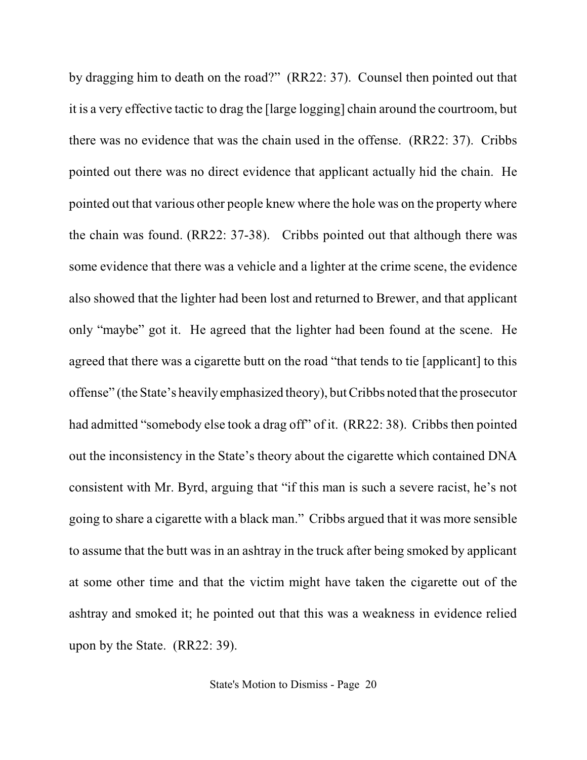by dragging him to death on the road?" (RR22: 37). Counsel then pointed out that it is a very effective tactic to drag the [large logging] chain around the courtroom, but there was no evidence that was the chain used in the offense. (RR22: 37). Cribbs pointed out there was no direct evidence that applicant actually hid the chain. He pointed out that various other people knew where the hole was on the property where the chain was found. (RR22: 37-38). Cribbs pointed out that although there was some evidence that there was a vehicle and a lighter at the crime scene, the evidence also showed that the lighter had been lost and returned to Brewer, and that applicant only "maybe" got it. He agreed that the lighter had been found at the scene. He agreed that there was a cigarette butt on the road "that tends to tie [applicant] to this offense" (the State's heavily emphasized theory), butCribbs noted that the prosecutor had admitted "somebody else took a drag off" of it. (RR22: 38). Cribbs then pointed out the inconsistency in the State's theory about the cigarette which contained DNA consistent with Mr. Byrd, arguing that "if this man is such a severe racist, he's not going to share a cigarette with a black man." Cribbs argued that it was more sensible to assume that the butt was in an ashtray in the truck after being smoked by applicant at some other time and that the victim might have taken the cigarette out of the ashtray and smoked it; he pointed out that this was a weakness in evidence relied upon by the State. (RR22: 39).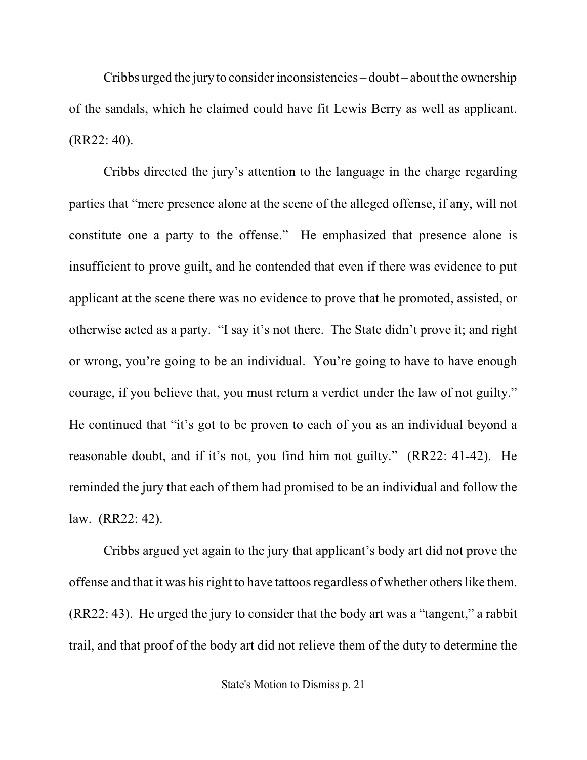Cribbs urged the jury to consider inconsistencies – doubt – about the ownership of the sandals, which he claimed could have fit Lewis Berry as well as applicant. (RR22: 40).

Cribbs directed the jury's attention to the language in the charge regarding parties that "mere presence alone at the scene of the alleged offense, if any, will not constitute one a party to the offense." He emphasized that presence alone is insufficient to prove guilt, and he contended that even if there was evidence to put applicant at the scene there was no evidence to prove that he promoted, assisted, or otherwise acted as a party. "I say it's not there. The State didn't prove it; and right or wrong, you're going to be an individual. You're going to have to have enough courage, if you believe that, you must return a verdict under the law of not guilty." He continued that "it's got to be proven to each of you as an individual beyond a reasonable doubt, and if it's not, you find him not guilty." (RR22: 41-42). He reminded the jury that each of them had promised to be an individual and follow the law. (RR22: 42).

Cribbs argued yet again to the jury that applicant's body art did not prove the offense and that it was his right to have tattoos regardless of whether others like them. (RR22: 43). He urged the jury to consider that the body art was a "tangent," a rabbit trail, and that proof of the body art did not relieve them of the duty to determine the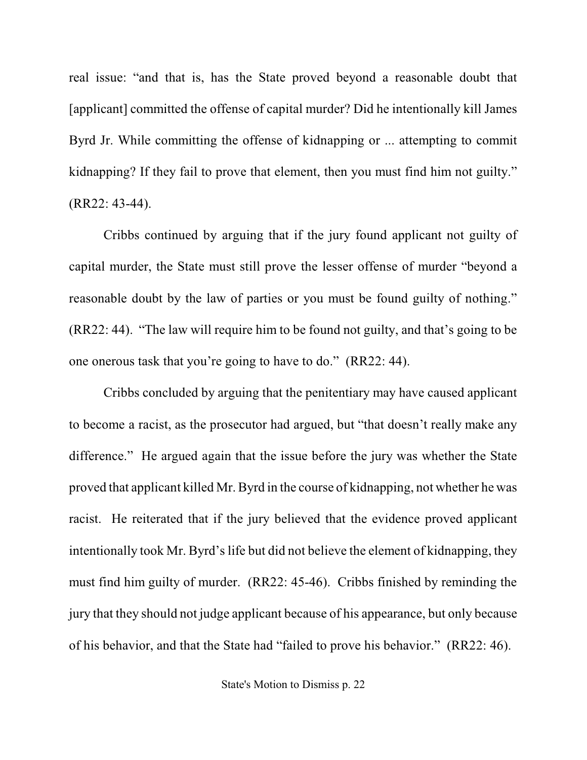real issue: "and that is, has the State proved beyond a reasonable doubt that [applicant] committed the offense of capital murder? Did he intentionally kill James Byrd Jr. While committing the offense of kidnapping or ... attempting to commit kidnapping? If they fail to prove that element, then you must find him not guilty." (RR22: 43-44).

Cribbs continued by arguing that if the jury found applicant not guilty of capital murder, the State must still prove the lesser offense of murder "beyond a reasonable doubt by the law of parties or you must be found guilty of nothing." (RR22: 44). "The law will require him to be found not guilty, and that's going to be one onerous task that you're going to have to do." (RR22: 44).

Cribbs concluded by arguing that the penitentiary may have caused applicant to become a racist, as the prosecutor had argued, but "that doesn't really make any difference." He argued again that the issue before the jury was whether the State proved that applicant killed Mr. Byrd in the course of kidnapping, not whether he was racist. He reiterated that if the jury believed that the evidence proved applicant intentionally took Mr. Byrd's life but did not believe the element of kidnapping, they must find him guilty of murder. (RR22: 45-46). Cribbs finished by reminding the jury that they should not judge applicant because of his appearance, but only because of his behavior, and that the State had "failed to prove his behavior." (RR22: 46).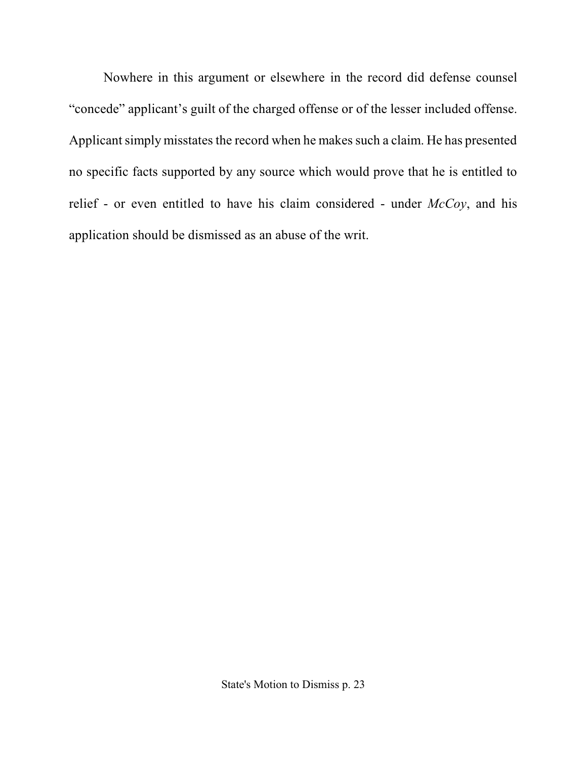Nowhere in this argument or elsewhere in the record did defense counsel "concede" applicant's guilt of the charged offense or of the lesser included offense. Applicant simply misstates the record when he makes such a claim. He has presented no specific facts supported by any source which would prove that he is entitled to relief - or even entitled to have his claim considered - under *McCoy*, and his application should be dismissed as an abuse of the writ.